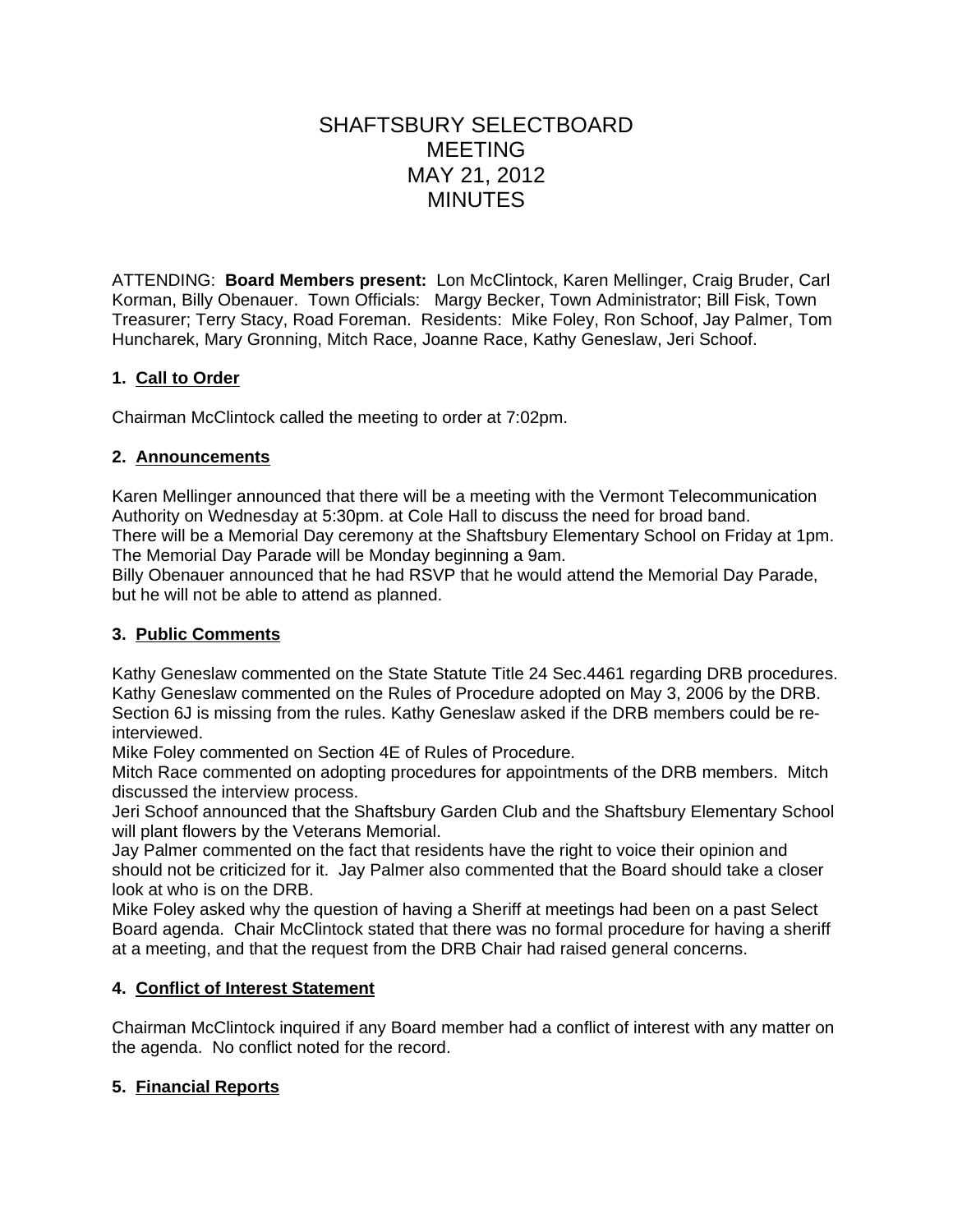# SHAFTSBURY SELECTBOARD MEETING MAY 21, 2012 MINUTES

ATTENDING: **Board Members present:** Lon McClintock, Karen Mellinger, Craig Bruder, Carl Korman, Billy Obenauer. Town Officials: Margy Becker, Town Administrator; Bill Fisk, Town Treasurer; Terry Stacy, Road Foreman. Residents: Mike Foley, Ron Schoof, Jay Palmer, Tom Huncharek, Mary Gronning, Mitch Race, Joanne Race, Kathy Geneslaw, Jeri Schoof.

# **1. Call to Order**

Chairman McClintock called the meeting to order at 7:02pm.

# **2. Announcements**

Karen Mellinger announced that there will be a meeting with the Vermont Telecommunication Authority on Wednesday at 5:30pm. at Cole Hall to discuss the need for broad band. There will be a Memorial Day ceremony at the Shaftsbury Elementary School on Friday at 1pm.

The Memorial Day Parade will be Monday beginning a 9am.

Billy Obenauer announced that he had RSVP that he would attend the Memorial Day Parade, but he will not be able to attend as planned.

# **3. Public Comments**

Kathy Geneslaw commented on the State Statute Title 24 Sec.4461 regarding DRB procedures. Kathy Geneslaw commented on the Rules of Procedure adopted on May 3, 2006 by the DRB. Section 6J is missing from the rules. Kathy Geneslaw asked if the DRB members could be reinterviewed.

Mike Foley commented on Section 4E of Rules of Procedure.

Mitch Race commented on adopting procedures for appointments of the DRB members. Mitch discussed the interview process.

Jeri Schoof announced that the Shaftsbury Garden Club and the Shaftsbury Elementary School will plant flowers by the Veterans Memorial.

Jay Palmer commented on the fact that residents have the right to voice their opinion and should not be criticized for it. Jay Palmer also commented that the Board should take a closer look at who is on the DRB.

Mike Foley asked why the question of having a Sheriff at meetings had been on a past Select Board agenda. Chair McClintock stated that there was no formal procedure for having a sheriff at a meeting, and that the request from the DRB Chair had raised general concerns.

# **4. Conflict of Interest Statement**

Chairman McClintock inquired if any Board member had a conflict of interest with any matter on the agenda. No conflict noted for the record.

# **5. Financial Reports**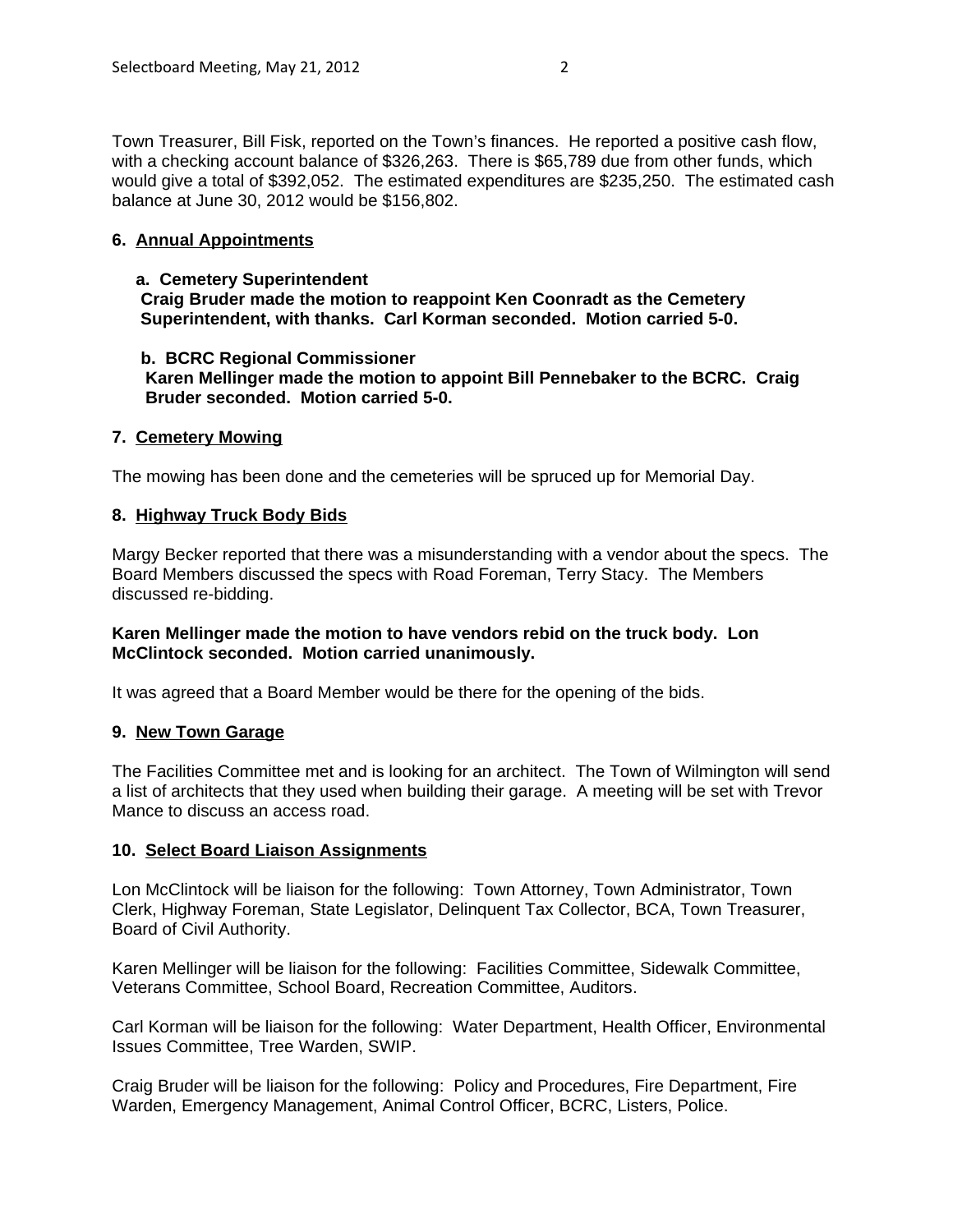Town Treasurer, Bill Fisk, reported on the Town's finances. He reported a positive cash flow, with a checking account balance of \$326,263. There is \$65,789 due from other funds, which would give a total of \$392,052. The estimated expenditures are \$235,250. The estimated cash balance at June 30, 2012 would be \$156,802.

#### **6. Annual Appointments**

#### **a. Cemetery Superintendent**

 **Craig Bruder made the motion to reappoint Ken Coonradt as the Cemetery Superintendent, with thanks. Carl Korman seconded. Motion carried 5-0.**

#### **b. BCRC Regional Commissioner**

 **Karen Mellinger made the motion to appoint Bill Pennebaker to the BCRC. Craig Bruder seconded. Motion carried 5-0.**

#### **7. Cemetery Mowing**

The mowing has been done and the cemeteries will be spruced up for Memorial Day.

#### **8. Highway Truck Body Bids**

Margy Becker reported that there was a misunderstanding with a vendor about the specs. The Board Members discussed the specs with Road Foreman, Terry Stacy. The Members discussed re-bidding.

#### **Karen Mellinger made the motion to have vendors rebid on the truck body. Lon McClintock seconded. Motion carried unanimously.**

It was agreed that a Board Member would be there for the opening of the bids.

#### **9. New Town Garage**

The Facilities Committee met and is looking for an architect. The Town of Wilmington will send a list of architects that they used when building their garage. A meeting will be set with Trevor Mance to discuss an access road.

#### **10. Select Board Liaison Assignments**

Lon McClintock will be liaison for the following: Town Attorney, Town Administrator, Town Clerk, Highway Foreman, State Legislator, Delinquent Tax Collector, BCA, Town Treasurer, Board of Civil Authority.

Karen Mellinger will be liaison for the following: Facilities Committee, Sidewalk Committee, Veterans Committee, School Board, Recreation Committee, Auditors.

Carl Korman will be liaison for the following: Water Department, Health Officer, Environmental Issues Committee, Tree Warden, SWIP.

Craig Bruder will be liaison for the following: Policy and Procedures, Fire Department, Fire Warden, Emergency Management, Animal Control Officer, BCRC, Listers, Police.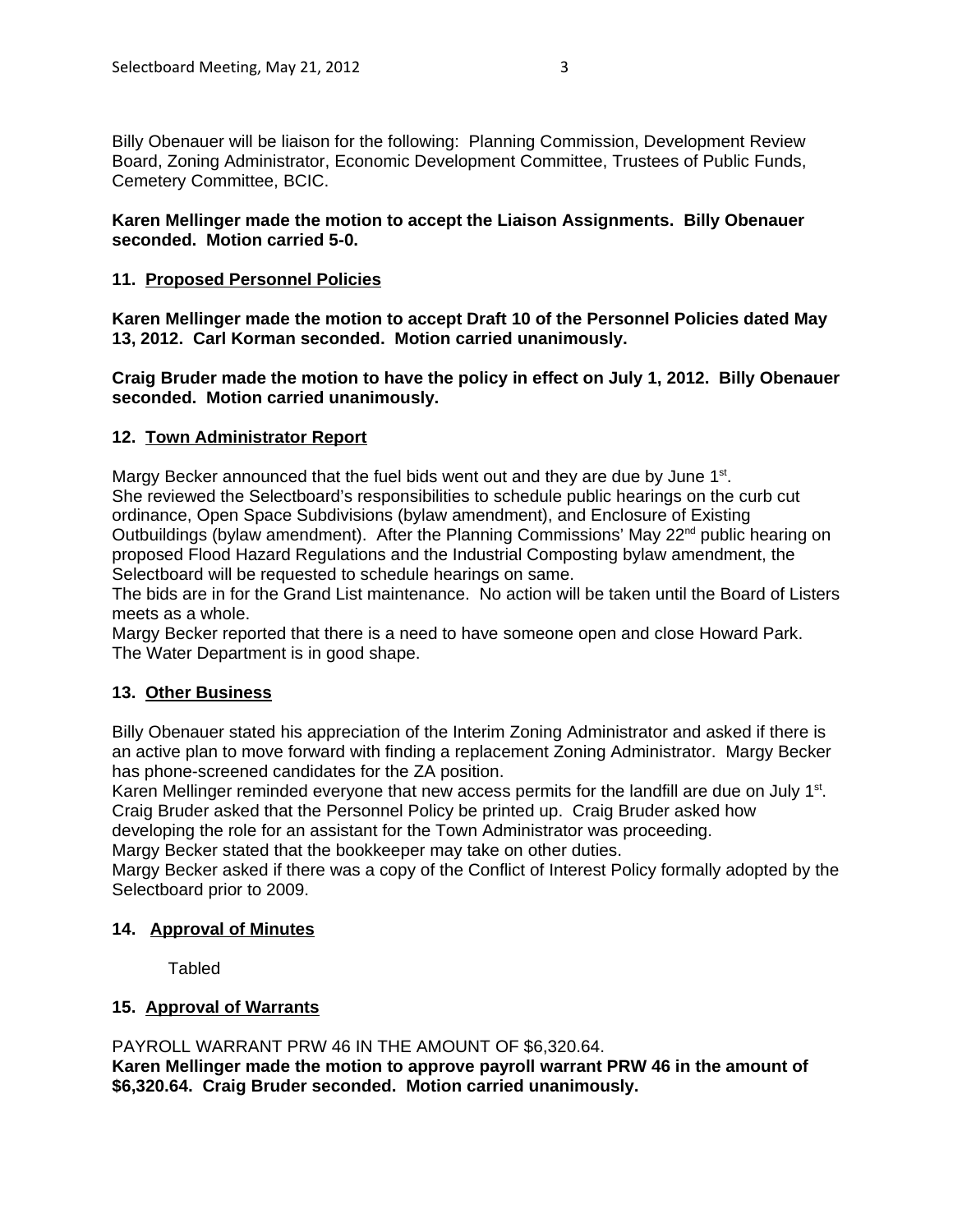Billy Obenauer will be liaison for the following: Planning Commission, Development Review Board, Zoning Administrator, Economic Development Committee, Trustees of Public Funds, Cemetery Committee, BCIC.

#### **Karen Mellinger made the motion to accept the Liaison Assignments. Billy Obenauer seconded. Motion carried 5-0.**

#### **11. Proposed Personnel Policies**

**Karen Mellinger made the motion to accept Draft 10 of the Personnel Policies dated May 13, 2012. Carl Korman seconded. Motion carried unanimously.**

**Craig Bruder made the motion to have the policy in effect on July 1, 2012. Billy Obenauer seconded. Motion carried unanimously.**

#### **12. Town Administrator Report**

Margy Becker announced that the fuel bids went out and they are due by June  $1<sup>st</sup>$ . She reviewed the Selectboard's responsibilities to schedule public hearings on the curb cut ordinance, Open Space Subdivisions (bylaw amendment), and Enclosure of Existing Outbuildings (bylaw amendment). After the Planning Commissions' May  $22<sup>nd</sup>$  public hearing on proposed Flood Hazard Regulations and the Industrial Composting bylaw amendment, the Selectboard will be requested to schedule hearings on same.

The bids are in for the Grand List maintenance. No action will be taken until the Board of Listers meets as a whole.

Margy Becker reported that there is a need to have someone open and close Howard Park. The Water Department is in good shape.

#### **13. Other Business**

Billy Obenauer stated his appreciation of the Interim Zoning Administrator and asked if there is an active plan to move forward with finding a replacement Zoning Administrator. Margy Becker has phone-screened candidates for the ZA position.

Karen Mellinger reminded everyone that new access permits for the landfill are due on July 1<sup>st</sup>. Craig Bruder asked that the Personnel Policy be printed up. Craig Bruder asked how

developing the role for an assistant for the Town Administrator was proceeding.

Margy Becker stated that the bookkeeper may take on other duties.

Margy Becker asked if there was a copy of the Conflict of Interest Policy formally adopted by the Selectboard prior to 2009.

#### **14. Approval of Minutes**

**Tabled** 

#### **15. Approval of Warrants**

PAYROLL WARRANT PRW 46 IN THE AMOUNT OF \$6,320.64.

**Karen Mellinger made the motion to approve payroll warrant PRW 46 in the amount of \$6,320.64. Craig Bruder seconded. Motion carried unanimously.**